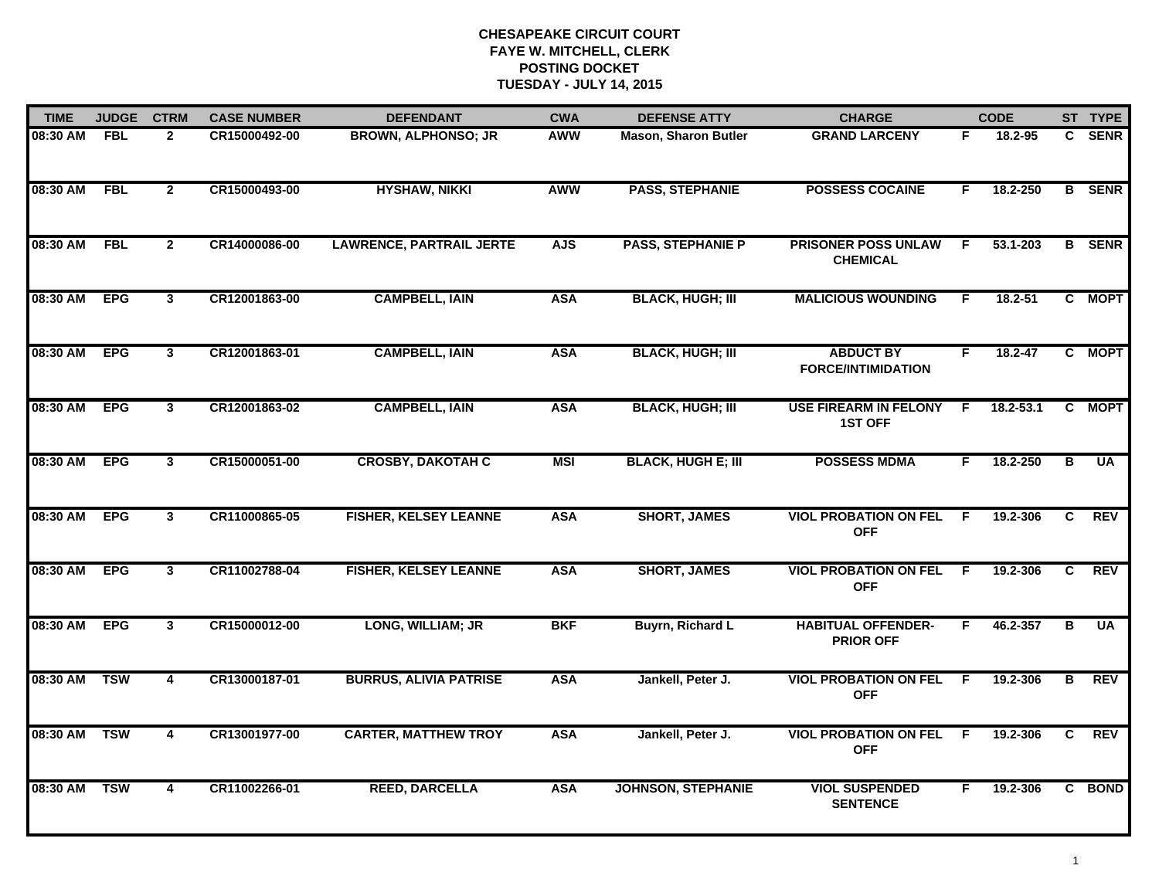| <b>TIME</b> | <b>JUDGE</b> | <b>CTRM</b>             | <b>CASE NUMBER</b> | <b>DEFENDANT</b>                | <b>CWA</b> | <b>DEFENSE ATTY</b>         | <b>CHARGE</b>                                  |    | <b>CODE</b> |                         | ST TYPE       |
|-------------|--------------|-------------------------|--------------------|---------------------------------|------------|-----------------------------|------------------------------------------------|----|-------------|-------------------------|---------------|
| 08:30 AM    | <b>FBL</b>   | $\overline{2}$          | CR15000492-00      | <b>BROWN, ALPHONSO; JR</b>      | <b>AWW</b> | <b>Mason, Sharon Butler</b> | <b>GRAND LARCENY</b>                           | F  | 18.2-95     | C.                      | <b>SENR</b>   |
| 08:30 AM    | <b>FBL</b>   | $\overline{2}$          | CR15000493-00      | <b>HYSHAW, NIKKI</b>            | <b>AWW</b> | <b>PASS, STEPHANIE</b>      | <b>POSSESS COCAINE</b>                         | F. | 18.2-250    |                         | <b>B</b> SENR |
| 08:30 AM    | <b>FBL</b>   | $\overline{2}$          | CR14000086-00      | <b>LAWRENCE, PARTRAIL JERTE</b> | <b>AJS</b> | <b>PASS, STEPHANIE P</b>    | <b>PRISONER POSS UNLAW</b><br><b>CHEMICAL</b>  | F  | 53.1-203    |                         | <b>B</b> SENR |
| 08:30 AM    | <b>EPG</b>   | $\mathbf{3}$            | CR12001863-00      | <b>CAMPBELL, IAIN</b>           | <b>ASA</b> | <b>BLACK, HUGH; III</b>     | <b>MALICIOUS WOUNDING</b>                      | F  | $18.2 - 51$ |                         | C MOPT        |
| 08:30 AM    | <b>EPG</b>   | $\mathbf{3}$            | CR12001863-01      | <b>CAMPBELL, IAIN</b>           | <b>ASA</b> | <b>BLACK, HUGH; III</b>     | <b>ABDUCT BY</b><br><b>FORCE/INTIMIDATION</b>  | F  | $18.2 - 47$ |                         | C MOPT        |
| 08:30 AM    | <b>EPG</b>   | $\mathbf{3}$            | CR12001863-02      | <b>CAMPBELL, IAIN</b>           | <b>ASA</b> | <b>BLACK, HUGH; III</b>     | <b>USE FIREARM IN FELONY</b><br><b>1ST OFF</b> | E  | 18.2-53.1   | C.                      | <b>MOPT</b>   |
| 08:30 AM    | <b>EPG</b>   | $\overline{\mathbf{3}}$ | CR15000051-00      | <b>CROSBY, DAKOTAH C</b>        | <b>MSI</b> | <b>BLACK, HUGH E; III</b>   | <b>POSSESS MDMA</b>                            | F. | 18.2-250    | $\overline{\mathbf{B}}$ | <b>UA</b>     |
| 08:30 AM    | <b>EPG</b>   | $\mathbf{3}$            | CR11000865-05      | <b>FISHER, KELSEY LEANNE</b>    | <b>ASA</b> | <b>SHORT, JAMES</b>         | <b>VIOL PROBATION ON FEL</b><br><b>OFF</b>     | F. | 19.2-306    | C.                      | <b>REV</b>    |
| 08:30 AM    | <b>EPG</b>   | $\mathbf{3}$            | CR11002788-04      | <b>FISHER, KELSEY LEANNE</b>    | <b>ASA</b> | <b>SHORT, JAMES</b>         | <b>VIOL PROBATION ON FEL</b><br><b>OFF</b>     | F  | 19.2-306    | C                       | <b>REV</b>    |
| 08:30 AM    | <b>EPG</b>   | $\mathbf{3}$            | CR15000012-00      | LONG, WILLIAM; JR               | <b>BKF</b> | <b>Buyrn, Richard L</b>     | <b>HABITUAL OFFENDER-</b><br><b>PRIOR OFF</b>  | F. | 46.2-357    | B                       | <b>UA</b>     |
| 08:30 AM    | <b>TSW</b>   | 4                       | CR13000187-01      | <b>BURRUS, ALIVIA PATRISE</b>   | <b>ASA</b> | Jankell, Peter J.           | <b>VIOL PROBATION ON FEL</b><br><b>OFF</b>     | F. | 19.2-306    | B                       | REV           |
| 08:30 AM    | <b>TSW</b>   | $\overline{4}$          | CR13001977-00      | <b>CARTER, MATTHEW TROY</b>     | <b>ASA</b> | Jankell, Peter J.           | <b>VIOL PROBATION ON FEL</b><br><b>OFF</b>     | E  | 19.2-306    | $\overline{c}$          | REV           |
| 08:30 AM    | <b>TSW</b>   | 4                       | CR11002266-01      | <b>REED, DARCELLA</b>           | <b>ASA</b> | <b>JOHNSON, STEPHANIE</b>   | <b>VIOL SUSPENDED</b><br><b>SENTENCE</b>       | F. | 19.2-306    |                         | C BOND        |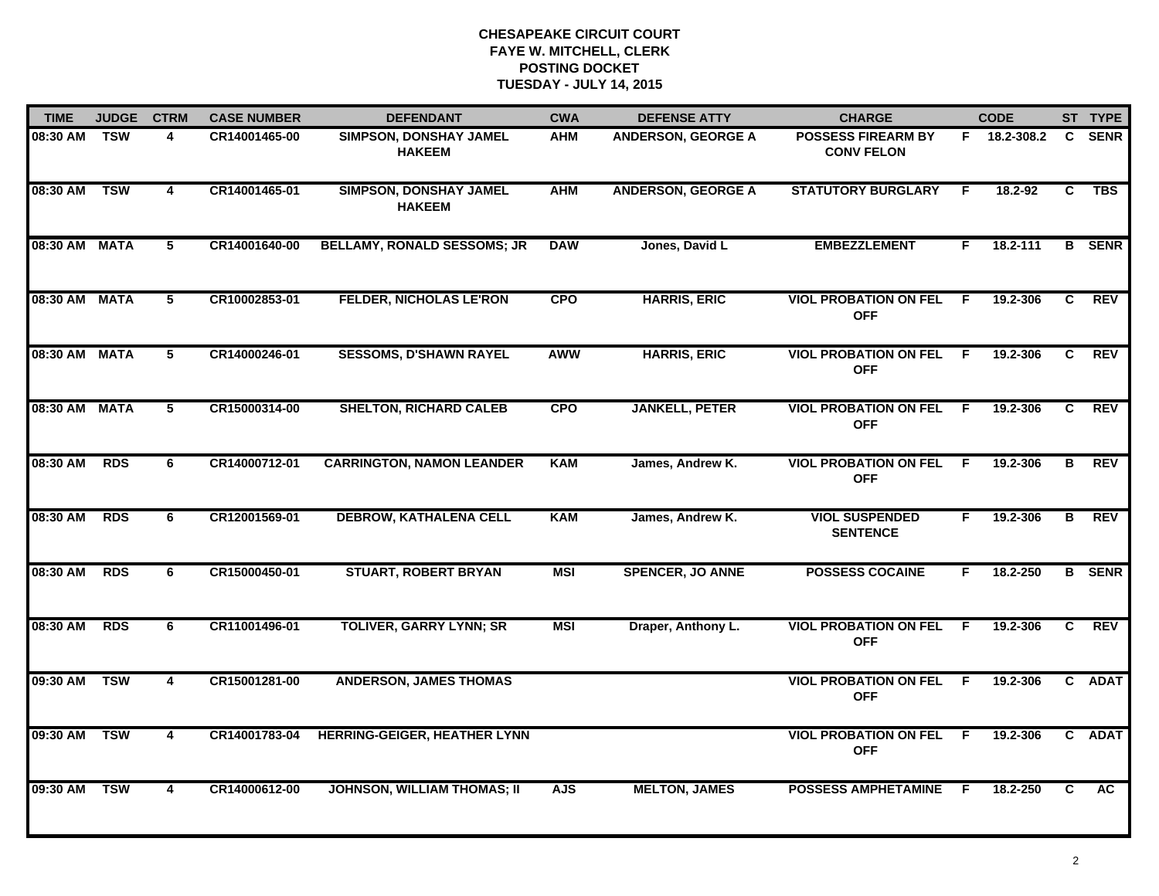| <b>TIME</b>   | <b>JUDGE</b> | <b>CTRM</b>    | <b>CASE NUMBER</b> | <b>DEFENDANT</b>                               | <b>CWA</b> | <b>DEFENSE ATTY</b>       | <b>CHARGE</b>                                  |     | <b>CODE</b>  |                | ST TYPE       |
|---------------|--------------|----------------|--------------------|------------------------------------------------|------------|---------------------------|------------------------------------------------|-----|--------------|----------------|---------------|
| 08:30 AM      | <b>TSW</b>   | 4              | CR14001465-00      | <b>SIMPSON, DONSHAY JAMEL</b><br><b>HAKEEM</b> | <b>AHM</b> | <b>ANDERSON, GEORGE A</b> | <b>POSSESS FIREARM BY</b><br><b>CONV FELON</b> |     | F 18.2-308.2 |                | C SENR        |
| 08:30 AM      | <b>TSW</b>   | 4              | CR14001465-01      | <b>SIMPSON, DONSHAY JAMEL</b><br><b>HAKEEM</b> | <b>AHM</b> | <b>ANDERSON, GEORGE A</b> | <b>STATUTORY BURGLARY</b>                      | .F  | 18.2-92      | C              | <b>TBS</b>    |
| 08:30 AM      | <b>MATA</b>  | $\overline{5}$ | CR14001640-00      | <b>BELLAMY, RONALD SESSOMS; JR</b>             | <b>DAW</b> | Jones, David L            | <b>EMBEZZLEMENT</b>                            | F.  | 18.2-111     |                | <b>B</b> SENR |
| 08:30 AM      | <b>MATA</b>  | 5              | CR10002853-01      | <b>FELDER, NICHOLAS LE'RON</b>                 | <b>CPO</b> | <b>HARRIS, ERIC</b>       | <b>VIOL PROBATION ON FEL</b><br><b>OFF</b>     | E   | 19.2-306     | C.             | <b>REV</b>    |
| 08:30 AM      | <b>MATA</b>  | 5              | CR14000246-01      | <b>SESSOMS, D'SHAWN RAYEL</b>                  | AWW        | <b>HARRIS, ERIC</b>       | <b>VIOL PROBATION ON FEL</b><br><b>OFF</b>     | E   | 19.2-306     | C              | <b>REV</b>    |
| 08:30 AM MATA |              | 5              | CR15000314-00      | <b>SHELTON, RICHARD CALEB</b>                  | <b>CPO</b> | <b>JANKELL, PETER</b>     | <b>VIOL PROBATION ON FEL</b><br><b>OFF</b>     | - F | 19.2-306     | C.             | <b>REV</b>    |
| 08:30 AM      | <b>RDS</b>   | 6              | CR14000712-01      | <b>CARRINGTON, NAMON LEANDER</b>               | <b>KAM</b> | James, Andrew K.          | <b>VIOL PROBATION ON FEL</b><br><b>OFF</b>     | - F | 19.2-306     | В              | <b>REV</b>    |
| 08:30 AM      | <b>RDS</b>   | 6              | CR12001569-01      | <b>DEBROW, KATHALENA CELL</b>                  | <b>KAM</b> | James, Andrew K.          | <b>VIOL SUSPENDED</b><br><b>SENTENCE</b>       | F   | 19.2-306     | $\overline{B}$ | REV           |
| 08:30 AM      | <b>RDS</b>   | 6              | CR15000450-01      | <b>STUART, ROBERT BRYAN</b>                    | <b>MSI</b> | <b>SPENCER, JO ANNE</b>   | <b>POSSESS COCAINE</b>                         | F   | 18.2-250     |                | <b>B</b> SENR |
| 08:30 AM      | <b>RDS</b>   | 6              | CR11001496-01      | <b>TOLIVER, GARRY LYNN; SR</b>                 | <b>MSI</b> | Draper, Anthony L.        | <b>VIOL PROBATION ON FEL</b><br><b>OFF</b>     | E   | 19.2-306     | C              | <b>REV</b>    |
| 09:30 AM      | <b>TSW</b>   | 4              | CR15001281-00      | <b>ANDERSON, JAMES THOMAS</b>                  |            |                           | <b>VIOL PROBATION ON FEL</b><br><b>OFF</b>     | - F | 19.2-306     |                | C ADAT        |
| 09:30 AM      | <b>TSW</b>   | $\overline{4}$ | CR14001783-04      | <b>HERRING-GEIGER, HEATHER LYNN</b>            |            |                           | <b>VIOL PROBATION ON FEL</b><br><b>OFF</b>     | F.  | 19.2-306     |                | C ADAT        |
| 09:30 AM      | <b>TSW</b>   | 4              | CR14000612-00      | JOHNSON, WILLIAM THOMAS; II                    | <b>AJS</b> | <b>MELTON, JAMES</b>      | <b>POSSESS AMPHETAMINE</b>                     | -F  | 18.2-250     | C.             | AC            |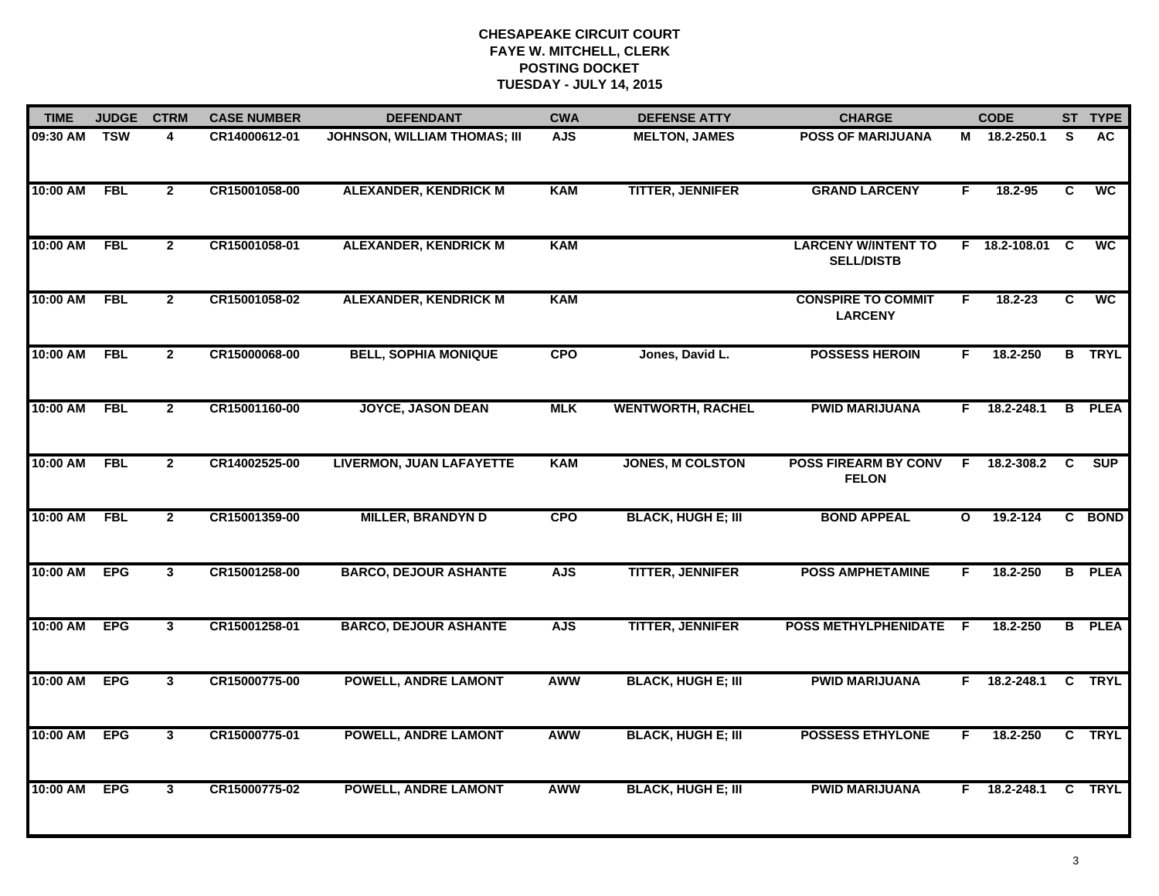| <b>TIME</b>  | <b>JUDGE</b> | <b>CTRM</b>             | <b>CASE NUMBER</b> | <b>DEFENDANT</b>                | <b>CWA</b> | <b>DEFENSE ATTY</b>       | <b>CHARGE</b>                                   |              | <b>CODE</b>     |          | ST TYPE       |
|--------------|--------------|-------------------------|--------------------|---------------------------------|------------|---------------------------|-------------------------------------------------|--------------|-----------------|----------|---------------|
| 09:30 AM     | TSW          | 4                       | CR14000612-01      | JOHNSON, WILLIAM THOMAS; III    | <b>AJS</b> | <b>MELTON, JAMES</b>      | <b>POSS OF MARIJUANA</b>                        |              | M 18.2-250.1    | S.       | AC            |
| 10:00 AM     | FBL          | $\overline{2}$          | CR15001058-00      | <b>ALEXANDER, KENDRICK M</b>    | <b>KAM</b> | <b>TITTER, JENNIFER</b>   | <b>GRAND LARCENY</b>                            | F.           | 18.2-95         | C        | <b>WC</b>     |
| 10:00 AM     | <b>FBL</b>   | $\mathbf{2}$            | CR15001058-01      | <b>ALEXANDER, KENDRICK M</b>    | <b>KAM</b> |                           | <b>LARCENY W/INTENT TO</b><br><b>SELL/DISTB</b> |              | $F$ 18.2-108.01 | <b>C</b> | <b>WC</b>     |
| 10:00 AM     | <b>FBL</b>   | $\mathbf{2}$            | CR15001058-02      | <b>ALEXANDER, KENDRICK M</b>    | <b>KAM</b> |                           | <b>CONSPIRE TO COMMIT</b><br><b>LARCENY</b>     | F.           | 18.2-23         | C.       | <b>WC</b>     |
| 10:00 AM     | <b>FBL</b>   | $\overline{2}$          | CR15000068-00      | <b>BELL, SOPHIA MONIQUE</b>     | <b>CPO</b> | Jones, David L.           | <b>POSSESS HEROIN</b>                           | F.           | 18.2-250        |          | <b>B</b> TRYL |
| 10:00 AM FBL |              | $\mathbf{2}$            | CR15001160-00      | <b>JOYCE, JASON DEAN</b>        | <b>MLK</b> | <b>WENTWORTH, RACHEL</b>  | <b>PWID MARIJUANA</b>                           |              | $F$ 18.2-248.1  |          | <b>B</b> PLEA |
| 10:00 AM     | FBL          | $\overline{2}$          | CR14002525-00      | <b>LIVERMON, JUAN LAFAYETTE</b> | <b>KAM</b> | <b>JONES, M COLSTON</b>   | <b>POSS FIREARM BY CONV</b><br><b>FELON</b>     | F.           | 18.2-308.2      | C        | SUP           |
| 10:00 AM     | <b>FBL</b>   | $\overline{2}$          | CR15001359-00      | <b>MILLER, BRANDYN D</b>        | <b>CPO</b> | <b>BLACK, HUGH E; III</b> | <b>BOND APPEAL</b>                              | $\mathbf{o}$ | 19.2-124        |          | C BOND        |
| 10:00 AM     | <b>EPG</b>   | $\mathbf{3}$            | CR15001258-00      | <b>BARCO, DEJOUR ASHANTE</b>    | <b>AJS</b> | <b>TITTER, JENNIFER</b>   | <b>POSS AMPHETAMINE</b>                         | F            | 18.2-250        |          | <b>B</b> PLEA |
| 10:00 AM     | <b>EPG</b>   | 3 <sup>1</sup>          | CR15001258-01      | <b>BARCO, DEJOUR ASHANTE</b>    | <b>AJS</b> | <b>TITTER, JENNIFER</b>   | POSS METHYLPHENIDATE                            | - F          | 18.2-250        |          | <b>B</b> PLEA |
| 10:00 AM     | <b>EPG</b>   | $\mathbf{3}$            | CR15000775-00      | <b>POWELL, ANDRE LAMONT</b>     | <b>AWW</b> | <b>BLACK, HUGH E; III</b> | <b>PWID MARIJUANA</b>                           |              | $F$ 18.2-248.1  |          | C TRYL        |
| 10:00 AM     | <b>EPG</b>   | $\overline{\mathbf{3}}$ | CR15000775-01      | <b>POWELL, ANDRE LAMONT</b>     | <b>AWW</b> | <b>BLACK, HUGH E; III</b> | <b>POSSESS ETHYLONE</b>                         | F.           | 18.2-250        |          | C TRYL        |
| 10:00 AM     | <b>EPG</b>   | $\mathbf{3}$            | CR15000775-02      | <b>POWELL, ANDRE LAMONT</b>     | <b>AWW</b> | <b>BLACK, HUGH E; III</b> | <b>PWID MARIJUANA</b>                           |              | $F$ 18.2-248.1  |          | C TRYL        |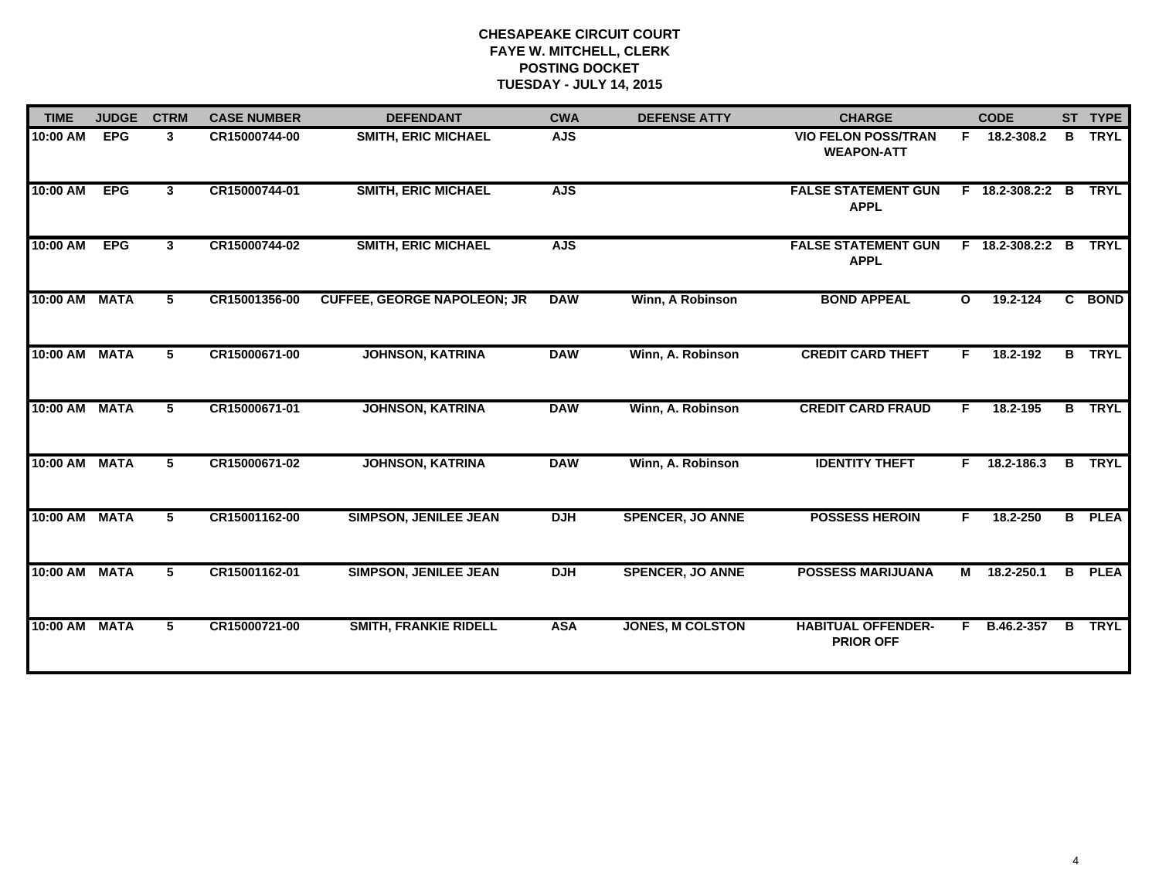| <b>TIME</b>   | <b>JUDGE</b> | <b>CTRM</b>  | <b>CASE NUMBER</b> | <b>DEFENDANT</b>                   | <b>CWA</b> | <b>DEFENSE ATTY</b>     | <b>CHARGE</b>                                   |              | <b>CODE</b>      |              | ST TYPE       |
|---------------|--------------|--------------|--------------------|------------------------------------|------------|-------------------------|-------------------------------------------------|--------------|------------------|--------------|---------------|
| 10:00 AM      | <b>EPG</b>   | $\mathbf{3}$ | CR15000744-00      | <b>SMITH, ERIC MICHAEL</b>         | <b>AJS</b> |                         | <b>VIO FELON POSS/TRAN</b><br><b>WEAPON-ATT</b> |              | F 18.2-308.2     | B            | <b>TRYL</b>   |
| 10:00 AM      | <b>EPG</b>   | 3            | CR15000744-01      | <b>SMITH, ERIC MICHAEL</b>         | <b>AJS</b> |                         | <b>FALSE STATEMENT GUN</b><br><b>APPL</b>       |              | F 18.2-308.2:2 B |              | <b>TRYL</b>   |
| 10:00 AM      | <b>EPG</b>   | $\mathbf{3}$ | CR15000744-02      | <b>SMITH, ERIC MICHAEL</b>         | <b>AJS</b> |                         | <b>FALSE STATEMENT GUN</b><br><b>APPL</b>       |              | $F$ 18.2-308.2:2 | B            | <b>TRYL</b>   |
| 10:00 AM MATA |              | 5            | CR15001356-00      | <b>CUFFEE, GEORGE NAPOLEON; JR</b> | <b>DAW</b> | Winn, A Robinson        | <b>BOND APPEAL</b>                              | $\mathbf{o}$ | 19.2-124         |              | C BOND        |
| 10:00 AM      | <b>MATA</b>  | 5            | CR15000671-00      | <b>JOHNSON, KATRINA</b>            | <b>DAW</b> | Winn, A. Robinson       | <b>CREDIT CARD THEFT</b>                        | F.           | 18.2-192         | в            | <b>TRYL</b>   |
| 10:00 AM MATA |              | 5            | CR15000671-01      | <b>JOHNSON, KATRINA</b>            | <b>DAW</b> | Winn, A. Robinson       | <b>CREDIT CARD FRAUD</b>                        | F.           | 18.2-195         | B            | <b>TRYL</b>   |
| 10:00 AM MATA |              | 5            | CR15000671-02      | <b>JOHNSON, KATRINA</b>            | <b>DAW</b> | Winn, A. Robinson       | <b>IDENTITY THEFT</b>                           |              | $F$ 18.2-186.3   |              | <b>B</b> TRYL |
| 10:00 AM      | <b>MATA</b>  | 5            | CR15001162-00      | <b>SIMPSON, JENILEE JEAN</b>       | <b>DJH</b> | <b>SPENCER, JO ANNE</b> | <b>POSSESS HEROIN</b>                           | F.           | 18.2-250         | B.           | <b>PLEA</b>   |
| 10:00 AM      | <b>MATA</b>  | 5            | CR15001162-01      | <b>SIMPSON, JENILEE JEAN</b>       | <b>DJH</b> | <b>SPENCER, JO ANNE</b> | <b>POSSESS MARIJUANA</b>                        | M            | 18.2-250.1       | B            | <b>PLEA</b>   |
| 10:00 AM MATA |              | 5            | CR15000721-00      | <b>SMITH, FRANKIE RIDELL</b>       | <b>ASA</b> | <b>JONES, M COLSTON</b> | <b>HABITUAL OFFENDER-</b><br><b>PRIOR OFF</b>   |              | F B.46.2-357     | $\mathbf{B}$ | <b>TRYL</b>   |